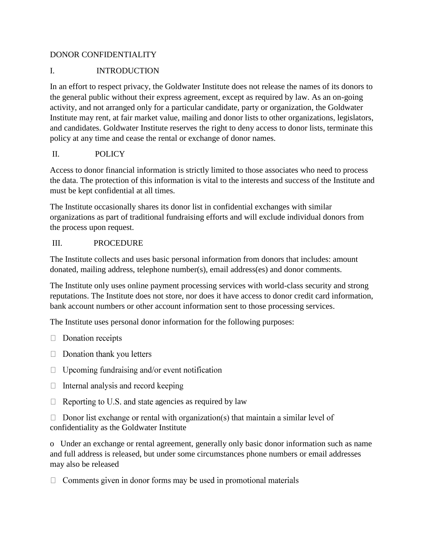#### DONOR CONFIDENTIALITY

### I. INTRODUCTION

In an effort to respect privacy, the Goldwater Institute does not release the names of its donors to the general public without their express agreement, except as required by law. As an on-going activity, and not arranged only for a particular candidate, party or organization, the Goldwater Institute may rent, at fair market value, mailing and donor lists to other organizations, legislators, and candidates. Goldwater Institute reserves the right to deny access to donor lists, terminate this policy at any time and cease the rental or exchange of donor names.

## II. POLICY

Access to donor financial information is strictly limited to those associates who need to process the data. The protection of this information is vital to the interests and success of the Institute and must be kept confidential at all times.

The Institute occasionally shares its donor list in confidential exchanges with similar organizations as part of traditional fundraising efforts and will exclude individual donors from the process upon request.

#### III. PROCEDURE

The Institute collects and uses basic personal information from donors that includes: amount donated, mailing address, telephone number(s), email address(es) and donor comments.

The Institute only uses online payment processing services with world-class security and strong reputations. The Institute does not store, nor does it have access to donor credit card information, bank account numbers or other account information sent to those processing services.

The Institute uses personal donor information for the following purposes:

- $\Box$  Donation receipts
- $\Box$  Donation thank you letters
- $\Box$  Upcoming fundraising and/or event notification
- $\Box$  Internal analysis and record keeping
- $\Box$  Reporting to U.S. and state agencies as required by law

 $\Box$  Donor list exchange or rental with organization(s) that maintain a similar level of confidentiality as the Goldwater Institute

o Under an exchange or rental agreement, generally only basic donor information such as name and full address is released, but under some circumstances phone numbers or email addresses may also be released

 $\Box$  Comments given in donor forms may be used in promotional materials